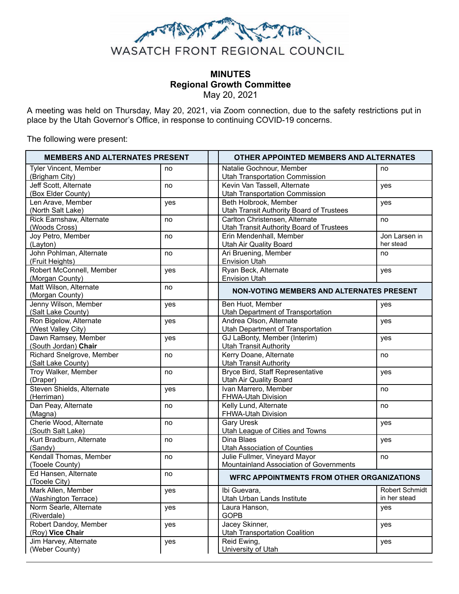

# **MINUTES Regional Growth Committee**

May 20, 2021

A meeting was held on Thursday, May 20, 2021, via Zoom connection, due to the safety restrictions put in place by the Utah Governor's Office, in response to continuing COVID-19 concerns.

The following were present:

| <b>MEMBERS AND ALTERNATES PRESENT</b>           |     | <b>OTHER APPOINTED MEMBERS AND ALTERNATES</b>                                     |                                |
|-------------------------------------------------|-----|-----------------------------------------------------------------------------------|--------------------------------|
| Tyler Vincent, Member<br>(Brigham City)         | no  | Natalie Gochnour, Member<br><b>Utah Transportation Commission</b>                 | no                             |
| Jeff Scott, Alternate<br>(Box Elder County)     | no  | Kevin Van Tassell, Alternate<br><b>Utah Transportation Commission</b>             | yes                            |
| Len Arave, Member<br>(North Salt Lake)          | yes | Beth Holbrook, Member<br>Utah Transit Authority Board of Trustees                 | yes                            |
| Rick Earnshaw, Alternate<br>(Woods Cross)       | no  | Carlton Christensen, Alternate<br><b>Utah Transit Authority Board of Trustees</b> | no                             |
| Joy Petro, Member<br>(Layton)                   | no  | Erin Mendenhall, Member<br>Utah Air Quality Board                                 | Jon Larsen in<br>her stead     |
| John Pohlman, Alternate<br>(Fruit Heights)      | no  | Ari Bruening, Member<br><b>Envision Utah</b>                                      | no                             |
| Robert McConnell, Member<br>(Morgan County)     | yes | Ryan Beck, Alternate<br><b>Envision Utah</b>                                      | yes                            |
| Matt Wilson, Alternate<br>(Morgan County)       | no  | <b>NON-VOTING MEMBERS AND ALTERNATES PRESENT</b>                                  |                                |
| Jenny Wilson, Member<br>(Salt Lake County)      | yes | Ben Huot, Member<br>Utah Department of Transportation                             | yes                            |
| Ron Bigelow, Alternate<br>(West Valley City)    | yes | Andrea Olson, Alternate<br>Utah Department of Transportation                      | yes                            |
| Dawn Ramsey, Member<br>(South Jordan) Chair     | yes | GJ LaBonty, Member (Interim)<br><b>Utah Transit Authority</b>                     | yes                            |
| Richard Snelgrove, Member<br>(Salt Lake County) | no  | Kerry Doane, Alternate<br><b>Utah Transit Authority</b>                           | no                             |
| Troy Walker, Member<br>(Draper)                 | no  | Bryce Bird, Staff Representative<br>Utah Air Quality Board                        | yes                            |
| Steven Shields, Alternate<br>(Herriman)         | yes | Ivan Marrero, Member<br>FHWA-Utah Division                                        | no                             |
| Dan Peay, Alternate<br>(Magna)                  | no  | Kelly Lund, Alternate<br>FHWA-Utah Division                                       | no                             |
| Cherie Wood, Alternate<br>(South Salt Lake)     | no  | <b>Gary Uresk</b><br>Utah League of Cities and Towns                              | yes                            |
| Kurt Bradburn, Alternate<br>(Sandy)             | no  | Dina Blaes<br>Utah Association of Counties                                        | yes                            |
| Kendall Thomas, Member<br>(Tooele County)       | no  | Julie Fullmer, Vineyard Mayor<br>Mountainland Association of Governments          | no                             |
| Ed Hansen, Alternate<br>(Tooele City)           | no  | <b>WFRC APPOINTMENTS FROM OTHER ORGANIZATIONS</b>                                 |                                |
| Mark Allen, Member<br>(Washington Terrace)      | yes | Ibi Guevara,<br>Utah Urban Lands Institute                                        | Robert Schmidt<br>in her stead |
| Norm Searle, Alternate<br>(Riverdale)           | yes | Laura Hanson,<br><b>GOPB</b>                                                      | yes                            |
| Robert Dandoy, Member<br>(Roy) Vice Chair       | yes | Jacey Skinner,<br><b>Utah Transportation Coalition</b>                            | yes                            |
| Jim Harvey, Alternate<br>(Weber County)         | yes | Reid Ewing,<br>University of Utah                                                 | yes                            |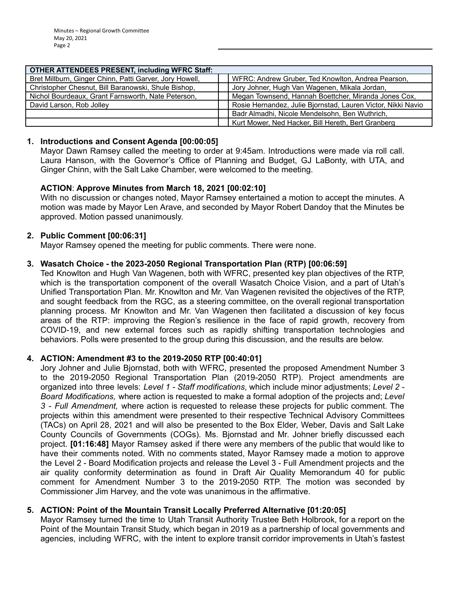| <b>OTHER ATTENDEES PRESENT, including WFRC Staff:</b>   |                                                              |
|---------------------------------------------------------|--------------------------------------------------------------|
| Bret Millburn, Ginger Chinn, Patti Garver, Jory Howell, | WFRC: Andrew Gruber, Ted Knowlton, Andrea Pearson,           |
| Christopher Chesnut, Bill Baranowski, Shule Bishop,     | Jory Johner, Hugh Van Wagenen, Mikala Jordan,                |
| Nichol Bourdeaux, Grant Farnsworth, Nate Peterson,      | Megan Townsend, Hannah Boettcher, Miranda Jones Cox,         |
| David Larson, Rob Jolley                                | Rosie Hernandez, Julie Bjornstad, Lauren Victor, Nikki Navio |
|                                                         | Badr Almadhi, Nicole Mendelsohn, Ben Wuthrich,               |
|                                                         | Kurt Mower, Ned Hacker, Bill Hereth, Bert Granberg           |

## **1. Introductions and Consent Agenda [00:00:05]**

Mayor Dawn Ramsey called the meeting to order at 9:45am. Introductions were made via roll call. Laura Hanson, with the Governor's Office of Planning and Budget, GJ LaBonty, with UTA, and Ginger Chinn, with the Salt Lake Chamber, were welcomed to the meeting.

## **ACTION**: **Approve Minutes from March 18, 2021 [00:02:10]**

With no discussion or changes noted, Mayor Ramsey entertained a motion to accept the minutes. A motion was made by Mayor Len Arave, and seconded by Mayor Robert Dandoy that the Minutes be approved. Motion passed unanimously.

## **2. Public Comment [00:06:31]**

Mayor Ramsey opened the meeting for public comments. There were none.

### **3. Wasatch Choice - the 2023-2050 Regional Transportation Plan (RTP) [00:06:59]**

Ted Knowlton and Hugh Van Wagenen, both with WFRC, presented key plan objectives of the RTP, which is the transportation component of the overall Wasatch Choice Vision, and a part of Utah's Unified Transportation Plan. Mr. Knowlton and Mr. Van Wagenen revisited the objectives of the RTP, and sought feedback from the RGC, as a steering committee, on the overall regional transportation planning process. Mr Knowlton and Mr. Van Wagenen then facilitated a discussion of key focus areas of the RTP: improving the Region's resilience in the face of rapid growth, recovery from COVID-19, and new external forces such as rapidly shifting transportation technologies and behaviors. Polls were presented to the group during this discussion, and the results are below.

### **4. ACTION: Amendment #3 to the 2019-2050 RTP [00:40:01]**

Jory Johner and Julie Bjornstad, both with WFRC, presented the proposed Amendment Number 3 to the 2019-2050 Regional Transportation Plan (2019-2050 RTP). Project amendments are organized into three levels: *Level 1 - Staff modifications*, which include minor adjustments; *Level 2 - Board Modifications,* where action is requested to make a formal adoption of the projects and; *Level 3 - Full Amendment,* where action is requested to release these projects for public comment. The projects within this amendment were presented to their respective Technical Advisory Committees (TACs) on April 28, 2021 and will also be presented to the Box Elder, Weber, Davis and Salt Lake County Councils of Governments (COGs). Ms. Bjornstad and Mr. Johner briefly discussed each project. **[01:16:48]** Mayor Ramsey asked if there were any members of the public that would like to have their comments noted. With no comments stated, Mayor Ramsey made a motion to approve the Level 2 - Board Modification projects and release the Level 3 - Full Amendment projects and the air quality conformity determination as found in Draft Air Quality Memorandum 40 for public comment for Amendment Number 3 to the 2019-2050 RTP. The motion was seconded by Commissioner Jim Harvey, and the vote was unanimous in the affirmative.

### **5. ACTION: Point of the Mountain Transit Locally Preferred Alternative [01:20:05]**

Mayor Ramsey turned the time to Utah Transit Authority Trustee Beth Holbrook, for a report on the Point of the Mountain Transit Study, which began in 2019 as a partnership of local governments and agencies, including WFRC, with the intent to explore transit corridor improvements in Utah's fastest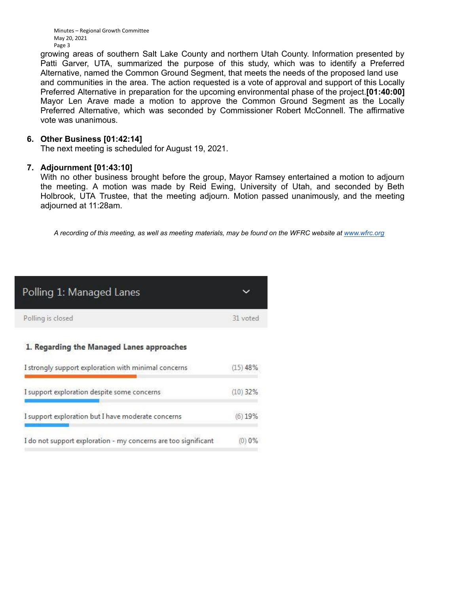Minutes – Regional Growth Committee May 20, 2021 Page 3

growing areas of southern Salt Lake County and northern Utah County. Information presented by Patti Garver, UTA, summarized the purpose of this study, which was to identify a Preferred Alternative, named the Common Ground Segment, that meets the needs of the proposed land use and communities in the area. The action requested is a vote of approval and support of this Locally Preferred Alternative in preparation for the upcoming environmental phase of the project.**[01:40:00]** Mayor Len Arave made a motion to approve the Common Ground Segment as the Locally Preferred Alternative, which was seconded by Commissioner Robert McConnell. The affirmative vote was unanimous.

### **6. Other Business [01:42:14]**

The next meeting is scheduled for August 19, 2021.

### **7. Adjournment [01:43:10]**

With no other business brought before the group, Mayor Ramsey entertained a motion to adjourn the meeting. A motion was made by Reid Ewing, University of Utah, and seconded by Beth Holbrook, UTA Trustee, that the meeting adjourn. Motion passed unanimously, and the meeting adjourned at 11:28am.

*A recording of this meeting, as well as meeting materials, may be found on the WFRC website at [www.wfrc.org](http://www.wfrc.org/)*

| Polling 1: Managed Lanes                                       |            |  |
|----------------------------------------------------------------|------------|--|
| Polling is closed                                              | 31 voted   |  |
| 1. Regarding the Managed Lanes approaches                      |            |  |
| I strongly support exploration with minimal concerns           | $(15)$ 48% |  |
| I support exploration despite some concerns                    | $(10)$ 32% |  |
| I support exploration but I have moderate concerns             | $(6)$ 19%  |  |
| I do not support exploration - my concerns are too significant | 0%         |  |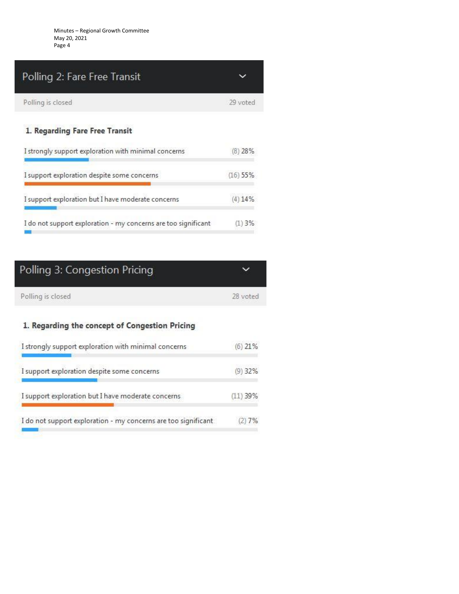

| I support exploration despite some concerns                    | $(16)$ 55% |
|----------------------------------------------------------------|------------|
| I support exploration but I have moderate concerns             | $(4)$ 14%  |
| I do not support exploration - my concerns are too significant | (1)3%      |

# Polling 3: Congestion Pricing

| Polling is closed | 28 voted |
|-------------------|----------|
|                   |          |

 $\checkmark$ 

# 1. Regarding the concept of Congestion Pricing

| I strongly support exploration with minimal concerns           | $(6)$ 21%  |
|----------------------------------------------------------------|------------|
| I support exploration despite some concerns                    | $(9)$ 32%  |
| I support exploration but I have moderate concerns             | $(11)$ 39% |
| I do not support exploration - my concerns are too significant | (2)7%      |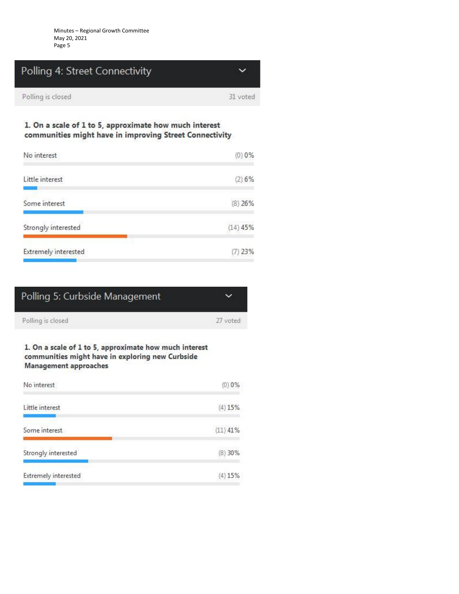Minutes – Regional Growth Committee May 20, 2021 Page 5

# Polling 4: Street Connectivity  $\checkmark$ Polling is closed 31 voted

### 1. On a scale of 1 to 5, approximate how much interest communities might have in improving Street Connectivity

| Little interest      | (2)6%      |
|----------------------|------------|
| Some interest        | $(8)$ 26%  |
| Strongly interested  | $(14)$ 45% |
| Extremely interested | $(7)$ 23%  |

| Polling 5: Curbside Management |          |
|--------------------------------|----------|
| Polling is closed              | 27 voted |

### 1. On a scale of 1 to 5, approximate how much interest communities might have in exploring new Curbside Management approaches

| No interest                 | (0)0%      |
|-----------------------------|------------|
| Little interest             | $(4)$ 15%  |
| Some interest               | $(11)$ 41% |
| Strongly interested         | $(8)$ 30%  |
| <b>Extremely interested</b> | $(4)$ 15%  |